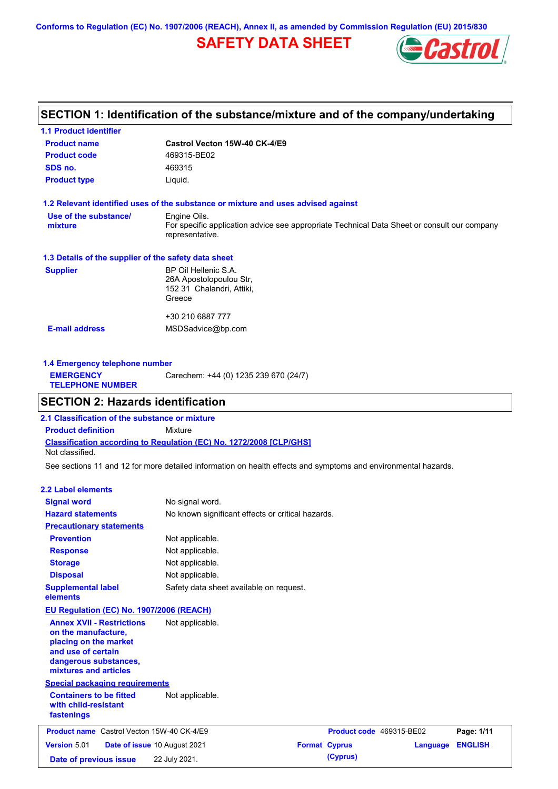**Conforms to Regulation (EC) No. 1907/2006 (REACH), Annex II, as amended by Commission Regulation (EU) 2015/830**

## **SAFETY DATA SHEET**



## **SECTION 1: Identification of the substance/mixture and of the company/undertaking**

| <b>1.1 Product identifier</b>                        |                                                                                                                |
|------------------------------------------------------|----------------------------------------------------------------------------------------------------------------|
| <b>Product name</b>                                  | Castrol Vecton 15W-40 CK-4/E9                                                                                  |
| <b>Product code</b>                                  | 469315-BE02                                                                                                    |
| SDS no.                                              | 469315                                                                                                         |
| <b>Product type</b>                                  | Liquid.                                                                                                        |
|                                                      | 1.2 Relevant identified uses of the substance or mixture and uses advised against                              |
| Use of the substance/                                | Engine Oils.                                                                                                   |
| mixture                                              | For specific application advice see appropriate Technical Data Sheet or consult our company<br>representative. |
| 1.3 Details of the supplier of the safety data sheet |                                                                                                                |
| <b>Supplier</b>                                      | BP Oil Hellenic S.A.                                                                                           |
|                                                      | 26A Apostolopoulou Str,                                                                                        |
|                                                      | 152 31 Chalandri, Attiki,                                                                                      |
|                                                      | Greece                                                                                                         |
|                                                      | +30 210 6887 777                                                                                               |
| <b>E-mail address</b>                                | MSDSadvice@bp.com                                                                                              |
|                                                      |                                                                                                                |
|                                                      |                                                                                                                |

| 1.4 Emergency telephone number              |                                       |  |  |  |
|---------------------------------------------|---------------------------------------|--|--|--|
| <b>EMERGENCY</b><br><b>TELEPHONE NUMBER</b> | Carechem: +44 (0) 1235 239 670 (24/7) |  |  |  |

## **SECTION 2: Hazards identification**

**Classification according to Regulation (EC) No. 1272/2008 [CLP/GHS] 2.1 Classification of the substance or mixture Product definition** Mixture Not classified.

See sections 11 and 12 for more detailed information on health effects and symptoms and environmental hazards.

#### **2.2 Label elements**

| <b>Signal word</b><br><b>Hazard statements</b>                                                                                                           | No signal word.<br>No known significant effects or critical hazards. |                          |          |                |
|----------------------------------------------------------------------------------------------------------------------------------------------------------|----------------------------------------------------------------------|--------------------------|----------|----------------|
| <b>Precautionary statements</b>                                                                                                                          |                                                                      |                          |          |                |
| <b>Prevention</b>                                                                                                                                        | Not applicable.                                                      |                          |          |                |
| <b>Response</b>                                                                                                                                          | Not applicable.                                                      |                          |          |                |
| <b>Storage</b>                                                                                                                                           | Not applicable.                                                      |                          |          |                |
| <b>Disposal</b>                                                                                                                                          | Not applicable.                                                      |                          |          |                |
| <b>Supplemental label</b><br>elements                                                                                                                    | Safety data sheet available on request.                              |                          |          |                |
| EU Regulation (EC) No. 1907/2006 (REACH)                                                                                                                 |                                                                      |                          |          |                |
| <b>Annex XVII - Restrictions</b><br>on the manufacture,<br>placing on the market<br>and use of certain<br>dangerous substances,<br>mixtures and articles | Not applicable.                                                      |                          |          |                |
| <b>Special packaging requirements</b>                                                                                                                    |                                                                      |                          |          |                |
| <b>Containers to be fitted</b><br>with child-resistant<br>fastenings                                                                                     | Not applicable.                                                      |                          |          |                |
| <b>Product name</b> Castrol Vecton 15W-40 CK-4/E9                                                                                                        |                                                                      | Product code 469315-BE02 |          | Page: 1/11     |
| <b>Version 5.01</b>                                                                                                                                      | Date of issue 10 August 2021                                         | <b>Format Cyprus</b>     | Language | <b>ENGLISH</b> |
| Date of previous issue                                                                                                                                   | 22 July 2021.                                                        | (Cyprus)                 |          |                |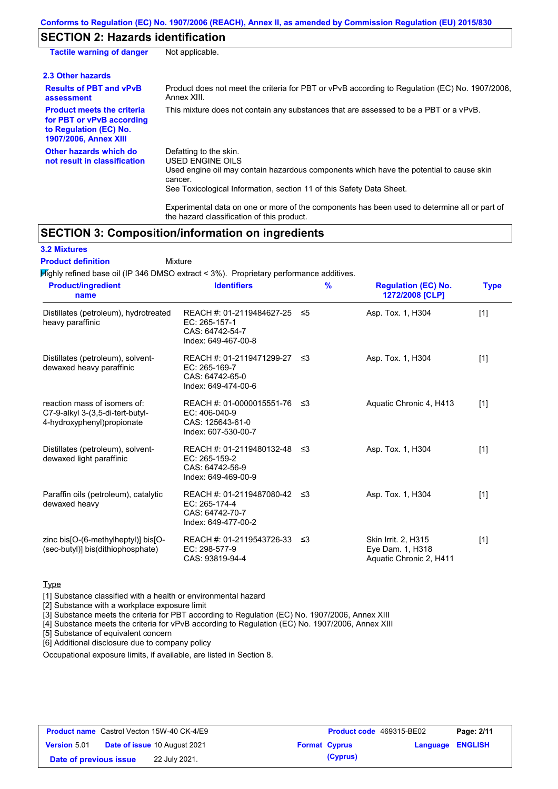## **SECTION 2: Hazards identification**

| Not applicable.                                                                                                                                                                                                                                                                                                                 |
|---------------------------------------------------------------------------------------------------------------------------------------------------------------------------------------------------------------------------------------------------------------------------------------------------------------------------------|
|                                                                                                                                                                                                                                                                                                                                 |
| Product does not meet the criteria for PBT or vPvB according to Regulation (EC) No. 1907/2006.<br>Annex XIII.                                                                                                                                                                                                                   |
| This mixture does not contain any substances that are assessed to be a PBT or a vPvB.                                                                                                                                                                                                                                           |
| Defatting to the skin.<br><b>USED ENGINE OILS</b><br>Used engine oil may contain hazardous components which have the potential to cause skin<br>cancer.<br>See Toxicological Information, section 11 of this Safety Data Sheet.<br>Experimental data on one or more of the components has been used to determine all or part of |
|                                                                                                                                                                                                                                                                                                                                 |

## **SECTION 3: Composition/information on ingredients**

### **3.2 Mixtures**

Mixture **Product definition**

Highly refined base oil (IP 346 DMSO extract < 3%). Proprietary performance additives.

the hazard classification of this product.

| <b>Product/ingredient</b><br>name                                                               | <b>Identifiers</b>                                                                     | $\frac{9}{6}$ | <b>Regulation (EC) No.</b><br>1272/2008 [CLP]                      | <b>Type</b> |
|-------------------------------------------------------------------------------------------------|----------------------------------------------------------------------------------------|---------------|--------------------------------------------------------------------|-------------|
| Distillates (petroleum), hydrotreated<br>heavy paraffinic                                       | REACH #: 01-2119484627-25<br>$EC: 265-157-1$<br>CAS: 64742-54-7<br>Index: 649-467-00-8 | ≤5            | Asp. Tox. 1, H304                                                  | $[1]$       |
| Distillates (petroleum), solvent-<br>dewaxed heavy paraffinic                                   | REACH #: 01-2119471299-27<br>EC: 265-169-7<br>CAS: 64742-65-0<br>Index: 649-474-00-6   | ≤3            | Asp. Tox. 1, H304                                                  | $[1]$       |
| reaction mass of isomers of:<br>C7-9-alkyl 3-(3,5-di-tert-butyl-<br>4-hydroxyphenyl) propionate | REACH #: 01-0000015551-76<br>EC: 406-040-9<br>CAS: 125643-61-0<br>Index: 607-530-00-7  | -≤3           | Aquatic Chronic 4, H413                                            | $[1]$       |
| Distillates (petroleum), solvent-<br>dewaxed light paraffinic                                   | REACH #: 01-2119480132-48<br>EC: 265-159-2<br>CAS: 64742-56-9<br>Index: 649-469-00-9   | -≤3           | Asp. Tox. 1, H304                                                  | [1]         |
| Paraffin oils (petroleum), catalytic<br>dewaxed heavy                                           | REACH #: 01-2119487080-42<br>EC: 265-174-4<br>CAS: 64742-70-7<br>Index: 649-477-00-2   | -≤3           | Asp. Tox. 1, H304                                                  | $[1]$       |
| zinc bis $[O-(6-methylheptyl)]$ bis $[O-(6-methylhept/l)]$<br>(sec-butyl)] bis(dithiophosphate) | REACH #: 01-2119543726-33<br>EC: 298-577-9<br>CAS: 93819-94-4                          | ≤3            | Skin Irrit. 2, H315<br>Eye Dam. 1, H318<br>Aquatic Chronic 2, H411 | $[1]$       |

### **Type**

[1] Substance classified with a health or environmental hazard

[2] Substance with a workplace exposure limit

[3] Substance meets the criteria for PBT according to Regulation (EC) No. 1907/2006, Annex XIII

[4] Substance meets the criteria for vPvB according to Regulation (EC) No. 1907/2006, Annex XIII

[5] Substance of equivalent concern

[6] Additional disclosure due to company policy

Occupational exposure limits, if available, are listed in Section 8.

|                        | <b>Product name</b> Castrol Vecton 15W-40 CK-4/E9 | Product code 469315-BE02 |                         | Page: 2/11 |
|------------------------|---------------------------------------------------|--------------------------|-------------------------|------------|
| <b>Version 5.01</b>    | <b>Date of issue 10 August 2021</b>               | <b>Format Cyprus</b>     | <b>Language ENGLISH</b> |            |
| Date of previous issue | 22 July 2021.                                     | (Cyprus)                 |                         |            |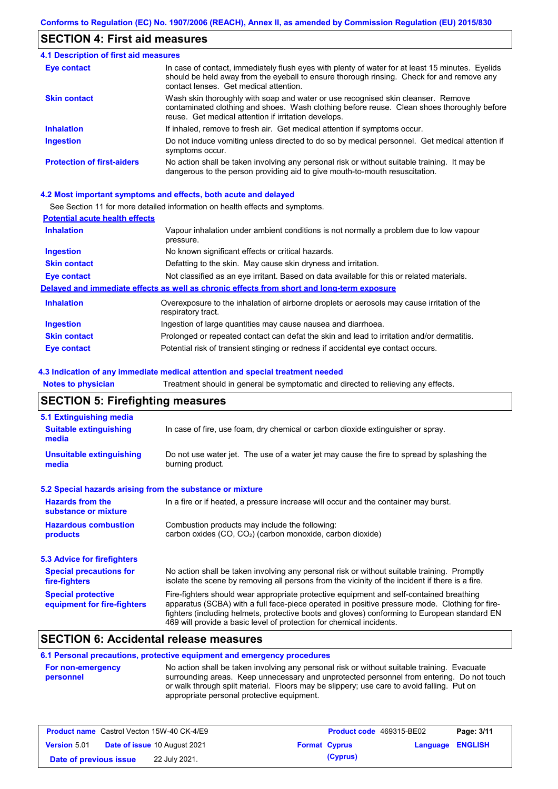### **SECTION 4: First aid measures**

#### Do not induce vomiting unless directed to do so by medical personnel. Get medical attention if symptoms occur. In case of contact, immediately flush eyes with plenty of water for at least 15 minutes. Eyelids should be held away from the eyeball to ensure thorough rinsing. Check for and remove any contact lenses. Get medical attention. **4.1 Description of first aid measures** If inhaled, remove to fresh air. Get medical attention if symptoms occur. **Ingestion Inhalation Eye contact Protection of first-aiders** No action shall be taken involving any personal risk or without suitable training. It may be dangerous to the person providing aid to give mouth-to-mouth resuscitation. **Skin contact** Wash skin thoroughly with soap and water or use recognised skin cleanser. Remove contaminated clothing and shoes. Wash clothing before reuse. Clean shoes thoroughly before reuse. Get medical attention if irritation develops.

#### **4.2 Most important symptoms and effects, both acute and delayed**

See Section 11 for more detailed information on health effects and symptoms.

| <b>Potential acute health effects</b> |                                                                                                                   |  |  |  |
|---------------------------------------|-------------------------------------------------------------------------------------------------------------------|--|--|--|
| <b>Inhalation</b>                     | Vapour inhalation under ambient conditions is not normally a problem due to low vapour<br>pressure.               |  |  |  |
| <b>Ingestion</b>                      | No known significant effects or critical hazards.                                                                 |  |  |  |
| <b>Skin contact</b>                   | Defatting to the skin. May cause skin dryness and irritation.                                                     |  |  |  |
| Eye contact                           | Not classified as an eye irritant. Based on data available for this or related materials.                         |  |  |  |
|                                       | Delayed and immediate effects as well as chronic effects from short and long-term exposure                        |  |  |  |
| <b>Inhalation</b>                     | Overexposure to the inhalation of airborne droplets or aerosols may cause irritation of the<br>respiratory tract. |  |  |  |
| <b>Ingestion</b>                      | Ingestion of large quantities may cause nausea and diarrhoea.                                                     |  |  |  |
| <b>Skin contact</b>                   | Prolonged or repeated contact can defat the skin and lead to irritation and/or dermatitis.                        |  |  |  |
| Eye contact                           | Potential risk of transient stinging or redness if accidental eye contact occurs.                                 |  |  |  |

#### **4.3 Indication of any immediate medical attention and special treatment needed**

| <b>Notes to physician</b>                                 | Treatment should in general be symptomatic and directed to relieving any effects.                                                                                                                                                                                                                                                                                 |  |  |  |  |
|-----------------------------------------------------------|-------------------------------------------------------------------------------------------------------------------------------------------------------------------------------------------------------------------------------------------------------------------------------------------------------------------------------------------------------------------|--|--|--|--|
| <b>SECTION 5: Firefighting measures</b>                   |                                                                                                                                                                                                                                                                                                                                                                   |  |  |  |  |
| 5.1 Extinguishing media                                   |                                                                                                                                                                                                                                                                                                                                                                   |  |  |  |  |
| <b>Suitable extinguishing</b><br>media                    | In case of fire, use foam, dry chemical or carbon dioxide extinguisher or spray.                                                                                                                                                                                                                                                                                  |  |  |  |  |
| <b>Unsuitable extinguishing</b><br>media                  | Do not use water jet. The use of a water jet may cause the fire to spread by splashing the<br>burning product.                                                                                                                                                                                                                                                    |  |  |  |  |
| 5.2 Special hazards arising from the substance or mixture |                                                                                                                                                                                                                                                                                                                                                                   |  |  |  |  |
| <b>Hazards from the</b><br>substance or mixture           | In a fire or if heated, a pressure increase will occur and the container may burst.                                                                                                                                                                                                                                                                               |  |  |  |  |
| <b>Hazardous combustion</b><br>products                   | Combustion products may include the following:<br>carbon oxides (CO, CO <sub>2</sub> ) (carbon monoxide, carbon dioxide)                                                                                                                                                                                                                                          |  |  |  |  |
| <b>5.3 Advice for firefighters</b>                        |                                                                                                                                                                                                                                                                                                                                                                   |  |  |  |  |
| <b>Special precautions for</b><br>fire-fighters           | No action shall be taken involving any personal risk or without suitable training. Promptly<br>isolate the scene by removing all persons from the vicinity of the incident if there is a fire.                                                                                                                                                                    |  |  |  |  |
| <b>Special protective</b><br>equipment for fire-fighters  | Fire-fighters should wear appropriate protective equipment and self-contained breathing<br>apparatus (SCBA) with a full face-piece operated in positive pressure mode. Clothing for fire-<br>fighters (including helmets, protective boots and gloves) conforming to European standard EN<br>469 will provide a basic level of protection for chemical incidents. |  |  |  |  |

### **SECTION 6: Accidental release measures**

### **6.1 Personal precautions, protective equipment and emergency procedures**

| <b>For non-emergency</b> | No action shall be taken involving any personal risk or without suitable training. Evacuate |
|--------------------------|---------------------------------------------------------------------------------------------|
| personnel                | surrounding areas. Keep unnecessary and unprotected personnel from entering. Do not touch   |
|                          | or walk through spilt material. Floors may be slippery; use care to avoid falling. Put on   |
|                          | appropriate personal protective equipment.                                                  |

|                        | <b>Product name</b> Castrol Vecton 15W-40 CK-4/E9 |                      | <b>Product code</b> 469315-BE02 |                         | Page: 3/11 |
|------------------------|---------------------------------------------------|----------------------|---------------------------------|-------------------------|------------|
| <b>Version 5.01</b>    | <b>Date of issue 10 August 2021</b>               | <b>Format Cyprus</b> |                                 | <b>Language ENGLISH</b> |            |
| Date of previous issue | 22 July 2021.                                     |                      | (Cyprus)                        |                         |            |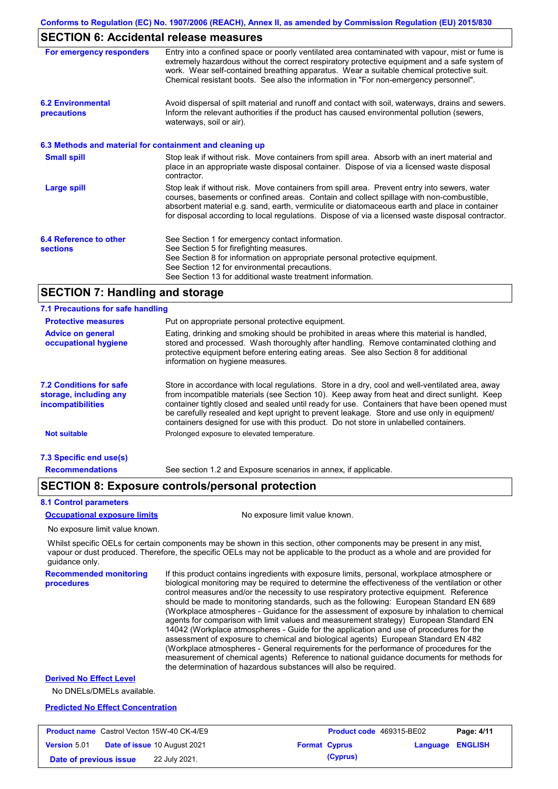### **SECTION 6: Accidental release measures**

| For emergency responders                                 | Entry into a confined space or poorly ventilated area contaminated with vapour, mist or fume is<br>extremely hazardous without the correct respiratory protective equipment and a safe system of<br>work. Wear self-contained breathing apparatus. Wear a suitable chemical protective suit.<br>Chemical resistant boots. See also the information in "For non-emergency personnel".           |
|----------------------------------------------------------|------------------------------------------------------------------------------------------------------------------------------------------------------------------------------------------------------------------------------------------------------------------------------------------------------------------------------------------------------------------------------------------------|
| <b>6.2 Environmental</b><br>precautions                  | Avoid dispersal of spilt material and runoff and contact with soil, waterways, drains and sewers.<br>Inform the relevant authorities if the product has caused environmental pollution (sewers,<br>waterways, soil or air).                                                                                                                                                                    |
| 6.3 Methods and material for containment and cleaning up |                                                                                                                                                                                                                                                                                                                                                                                                |
| <b>Small spill</b>                                       | Stop leak if without risk. Move containers from spill area. Absorb with an inert material and<br>place in an appropriate waste disposal container. Dispose of via a licensed waste disposal<br>contractor.                                                                                                                                                                                     |
| <b>Large spill</b>                                       | Stop leak if without risk. Move containers from spill area. Prevent entry into sewers, water<br>courses, basements or confined areas. Contain and collect spillage with non-combustible,<br>absorbent material e.g. sand, earth, vermiculite or diatomaceous earth and place in container<br>for disposal according to local regulations. Dispose of via a licensed waste disposal contractor. |
| 6.4 Reference to other<br><b>sections</b>                | See Section 1 for emergency contact information.<br>See Section 5 for firefighting measures.<br>See Section 8 for information on appropriate personal protective equipment.<br>See Section 12 for environmental precautions.                                                                                                                                                                   |
|                                                          | See Section 13 for additional waste treatment information.                                                                                                                                                                                                                                                                                                                                     |

### **SECTION 7: Handling and storage**

| 7.1 Precautions for safe handling                                                    |                                                                                                                                                                                                                                                                                                                                                                                                                                                                                          |
|--------------------------------------------------------------------------------------|------------------------------------------------------------------------------------------------------------------------------------------------------------------------------------------------------------------------------------------------------------------------------------------------------------------------------------------------------------------------------------------------------------------------------------------------------------------------------------------|
| <b>Protective measures</b>                                                           | Put on appropriate personal protective equipment.                                                                                                                                                                                                                                                                                                                                                                                                                                        |
| <b>Advice on general</b><br>occupational hygiene                                     | Eating, drinking and smoking should be prohibited in areas where this material is handled.<br>stored and processed. Wash thoroughly after handling. Remove contaminated clothing and<br>protective equipment before entering eating areas. See also Section 8 for additional<br>information on hygiene measures.                                                                                                                                                                         |
| <b>7.2 Conditions for safe</b><br>storage, including any<br><i>incompatibilities</i> | Store in accordance with local requiations. Store in a dry, cool and well-ventilated area, away<br>from incompatible materials (see Section 10). Keep away from heat and direct sunlight. Keep<br>container tightly closed and sealed until ready for use. Containers that have been opened must<br>be carefully resealed and kept upright to prevent leakage. Store and use only in equipment/<br>containers designed for use with this product. Do not store in unlabelled containers. |
| <b>Not suitable</b>                                                                  | Prolonged exposure to elevated temperature.                                                                                                                                                                                                                                                                                                                                                                                                                                              |
| 7.3 Specific end use(s)                                                              |                                                                                                                                                                                                                                                                                                                                                                                                                                                                                          |
| <b>Recommendations</b>                                                               | See section 1.2 and Exposure scenarios in annex, if applicable.                                                                                                                                                                                                                                                                                                                                                                                                                          |

### **SECTION 8: Exposure controls/personal protection**

#### **8.1 Control parameters**

#### **Occupational exposure limits** No exposure limit value known.

No exposure limit value known.

Whilst specific OELs for certain components may be shown in this section, other components may be present in any mist, vapour or dust produced. Therefore, the specific OELs may not be applicable to the product as a whole and are provided for guidance only.

**Recommended monitoring procedures**

If this product contains ingredients with exposure limits, personal, workplace atmosphere or biological monitoring may be required to determine the effectiveness of the ventilation or other control measures and/or the necessity to use respiratory protective equipment. Reference should be made to monitoring standards, such as the following: European Standard EN 689 (Workplace atmospheres - Guidance for the assessment of exposure by inhalation to chemical agents for comparison with limit values and measurement strategy) European Standard EN 14042 (Workplace atmospheres - Guide for the application and use of procedures for the assessment of exposure to chemical and biological agents) European Standard EN 482 (Workplace atmospheres - General requirements for the performance of procedures for the measurement of chemical agents) Reference to national guidance documents for methods for the determination of hazardous substances will also be required.

#### **Derived No Effect Level**

No DNELs/DMELs available.

#### **Predicted No Effect Concentration**

|                        | <b>Product name</b> Castrol Vecton 15W-40 CK-4/E9 | <b>Product code</b> 469315-BE02 |                         | Page: 4/11 |
|------------------------|---------------------------------------------------|---------------------------------|-------------------------|------------|
| <b>Version 5.01</b>    | <b>Date of issue 10 August 2021</b>               | <b>Format Cyprus</b>            | <b>Language ENGLISH</b> |            |
| Date of previous issue | 22 July 2021.                                     | (Cyprus)                        |                         |            |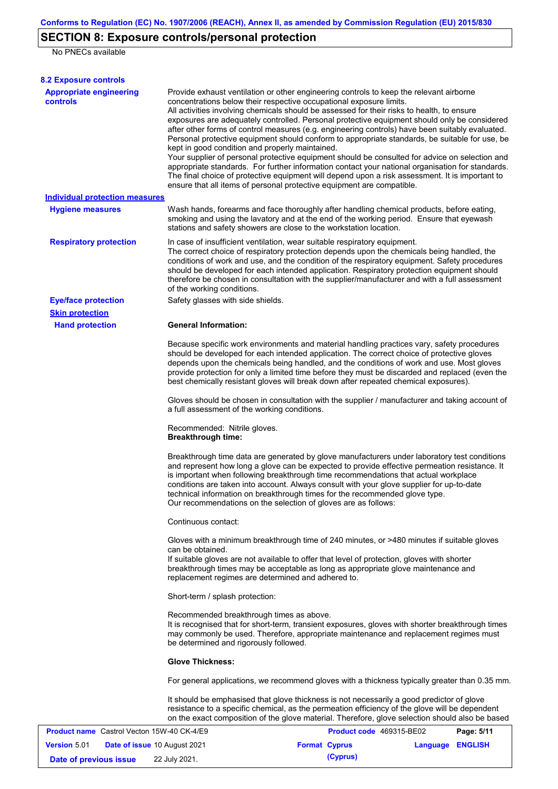## **SECTION 8: Exposure controls/personal protection**

No PNECs available

| <b>8.2 Exposure controls</b>                      |                                                                                                                                                                                                                                                                                                                                                                                                                                                                                                                                                                                                                                                                                                                                                                                                                                                                                                                                                                                                         |                          |                  |            |
|---------------------------------------------------|---------------------------------------------------------------------------------------------------------------------------------------------------------------------------------------------------------------------------------------------------------------------------------------------------------------------------------------------------------------------------------------------------------------------------------------------------------------------------------------------------------------------------------------------------------------------------------------------------------------------------------------------------------------------------------------------------------------------------------------------------------------------------------------------------------------------------------------------------------------------------------------------------------------------------------------------------------------------------------------------------------|--------------------------|------------------|------------|
| <b>Appropriate engineering</b><br><b>controls</b> | Provide exhaust ventilation or other engineering controls to keep the relevant airborne<br>concentrations below their respective occupational exposure limits.<br>All activities involving chemicals should be assessed for their risks to health, to ensure<br>exposures are adequately controlled. Personal protective equipment should only be considered<br>after other forms of control measures (e.g. engineering controls) have been suitably evaluated.<br>Personal protective equipment should conform to appropriate standards, be suitable for use, be<br>kept in good condition and properly maintained.<br>Your supplier of personal protective equipment should be consulted for advice on selection and<br>appropriate standards. For further information contact your national organisation for standards.<br>The final choice of protective equipment will depend upon a risk assessment. It is important to<br>ensure that all items of personal protective equipment are compatible. |                          |                  |            |
| <b>Individual protection measures</b>             |                                                                                                                                                                                                                                                                                                                                                                                                                                                                                                                                                                                                                                                                                                                                                                                                                                                                                                                                                                                                         |                          |                  |            |
| <b>Hygiene measures</b>                           | Wash hands, forearms and face thoroughly after handling chemical products, before eating,<br>smoking and using the lavatory and at the end of the working period. Ensure that eyewash<br>stations and safety showers are close to the workstation location.                                                                                                                                                                                                                                                                                                                                                                                                                                                                                                                                                                                                                                                                                                                                             |                          |                  |            |
| <b>Respiratory protection</b>                     | In case of insufficient ventilation, wear suitable respiratory equipment.<br>The correct choice of respiratory protection depends upon the chemicals being handled, the<br>conditions of work and use, and the condition of the respiratory equipment. Safety procedures<br>should be developed for each intended application. Respiratory protection equipment should<br>therefore be chosen in consultation with the supplier/manufacturer and with a full assessment<br>of the working conditions.                                                                                                                                                                                                                                                                                                                                                                                                                                                                                                   |                          |                  |            |
| <b>Eye/face protection</b>                        | Safety glasses with side shields.                                                                                                                                                                                                                                                                                                                                                                                                                                                                                                                                                                                                                                                                                                                                                                                                                                                                                                                                                                       |                          |                  |            |
| <b>Skin protection</b>                            |                                                                                                                                                                                                                                                                                                                                                                                                                                                                                                                                                                                                                                                                                                                                                                                                                                                                                                                                                                                                         |                          |                  |            |
| <b>Hand protection</b>                            | <b>General Information:</b>                                                                                                                                                                                                                                                                                                                                                                                                                                                                                                                                                                                                                                                                                                                                                                                                                                                                                                                                                                             |                          |                  |            |
|                                                   | Because specific work environments and material handling practices vary, safety procedures<br>should be developed for each intended application. The correct choice of protective gloves<br>depends upon the chemicals being handled, and the conditions of work and use. Most gloves<br>provide protection for only a limited time before they must be discarded and replaced (even the<br>best chemically resistant gloves will break down after repeated chemical exposures).<br>Gloves should be chosen in consultation with the supplier / manufacturer and taking account of                                                                                                                                                                                                                                                                                                                                                                                                                      |                          |                  |            |
|                                                   | a full assessment of the working conditions.                                                                                                                                                                                                                                                                                                                                                                                                                                                                                                                                                                                                                                                                                                                                                                                                                                                                                                                                                            |                          |                  |            |
|                                                   | Recommended: Nitrile gloves.<br><b>Breakthrough time:</b>                                                                                                                                                                                                                                                                                                                                                                                                                                                                                                                                                                                                                                                                                                                                                                                                                                                                                                                                               |                          |                  |            |
|                                                   | Breakthrough time data are generated by glove manufacturers under laboratory test conditions<br>and represent how long a glove can be expected to provide effective permeation resistance. It<br>is important when following breakthrough time recommendations that actual workplace<br>conditions are taken into account. Always consult with your glove supplier for up-to-date<br>technical information on breakthrough times for the recommended glove type.<br>Our recommendations on the selection of gloves are as follows:                                                                                                                                                                                                                                                                                                                                                                                                                                                                      |                          |                  |            |
|                                                   | Continuous contact:                                                                                                                                                                                                                                                                                                                                                                                                                                                                                                                                                                                                                                                                                                                                                                                                                                                                                                                                                                                     |                          |                  |            |
|                                                   | Gloves with a minimum breakthrough time of 240 minutes, or >480 minutes if suitable gloves<br>can be obtained.<br>If suitable gloves are not available to offer that level of protection, gloves with shorter<br>breakthrough times may be acceptable as long as appropriate glove maintenance and<br>replacement regimes are determined and adhered to.                                                                                                                                                                                                                                                                                                                                                                                                                                                                                                                                                                                                                                                |                          |                  |            |
|                                                   | Short-term / splash protection:                                                                                                                                                                                                                                                                                                                                                                                                                                                                                                                                                                                                                                                                                                                                                                                                                                                                                                                                                                         |                          |                  |            |
|                                                   | Recommended breakthrough times as above.<br>It is recognised that for short-term, transient exposures, gloves with shorter breakthrough times<br>may commonly be used. Therefore, appropriate maintenance and replacement regimes must<br>be determined and rigorously followed.                                                                                                                                                                                                                                                                                                                                                                                                                                                                                                                                                                                                                                                                                                                        |                          |                  |            |
|                                                   | <b>Glove Thickness:</b>                                                                                                                                                                                                                                                                                                                                                                                                                                                                                                                                                                                                                                                                                                                                                                                                                                                                                                                                                                                 |                          |                  |            |
|                                                   | For general applications, we recommend gloves with a thickness typically greater than 0.35 mm.                                                                                                                                                                                                                                                                                                                                                                                                                                                                                                                                                                                                                                                                                                                                                                                                                                                                                                          |                          |                  |            |
|                                                   | It should be emphasised that glove thickness is not necessarily a good predictor of glove<br>resistance to a specific chemical, as the permeation efficiency of the glove will be dependent<br>on the exact composition of the glove material. Therefore, glove selection should also be based                                                                                                                                                                                                                                                                                                                                                                                                                                                                                                                                                                                                                                                                                                          |                          |                  |            |
| <b>Product name</b> Castrol Vecton 15W-40 CK-4/E9 |                                                                                                                                                                                                                                                                                                                                                                                                                                                                                                                                                                                                                                                                                                                                                                                                                                                                                                                                                                                                         | Product code 469315-BE02 |                  | Page: 5/11 |
| Version 5.01<br>Date of issue 10 August 2021      |                                                                                                                                                                                                                                                                                                                                                                                                                                                                                                                                                                                                                                                                                                                                                                                                                                                                                                                                                                                                         | <b>Format Cyprus</b>     | Language ENGLISH |            |

**Date of previous issue 22 July 2021. (Cyprus) (Cyprus)**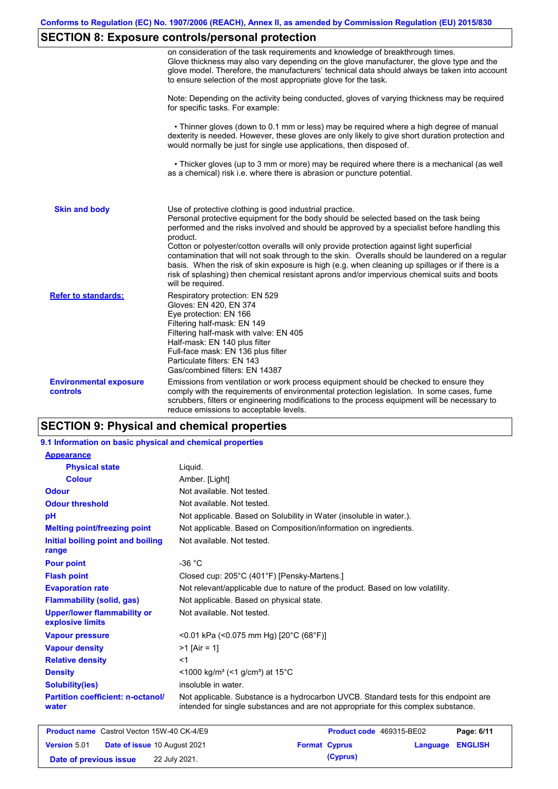# **SECTION 8: Exposure controls/personal protection**

|                                           | on consideration of the task requirements and knowledge of breakthrough times.<br>Glove thickness may also vary depending on the glove manufacturer, the glove type and the<br>glove model. Therefore, the manufacturers' technical data should always be taken into account<br>to ensure selection of the most appropriate glove for the task.                                                                                                                                                                                                                  |
|-------------------------------------------|------------------------------------------------------------------------------------------------------------------------------------------------------------------------------------------------------------------------------------------------------------------------------------------------------------------------------------------------------------------------------------------------------------------------------------------------------------------------------------------------------------------------------------------------------------------|
|                                           | Note: Depending on the activity being conducted, gloves of varying thickness may be required<br>for specific tasks. For example:                                                                                                                                                                                                                                                                                                                                                                                                                                 |
|                                           | • Thinner gloves (down to 0.1 mm or less) may be required where a high degree of manual<br>dexterity is needed. However, these gloves are only likely to give short duration protection and<br>would normally be just for single use applications, then disposed of.                                                                                                                                                                                                                                                                                             |
|                                           | • Thicker gloves (up to 3 mm or more) may be required where there is a mechanical (as well<br>as a chemical) risk i.e. where there is abrasion or puncture potential.                                                                                                                                                                                                                                                                                                                                                                                            |
| <b>Skin and body</b>                      | Use of protective clothing is good industrial practice.<br>Personal protective equipment for the body should be selected based on the task being<br>performed and the risks involved and should be approved by a specialist before handling this<br>product.<br>Cotton or polyester/cotton overalls will only provide protection against light superficial<br>contamination that will not soak through to the skin. Overalls should be laundered on a regular<br>basis. When the risk of skin exposure is high (e.g. when cleaning up spillages or if there is a |
|                                           | risk of splashing) then chemical resistant aprons and/or impervious chemical suits and boots<br>will be required.                                                                                                                                                                                                                                                                                                                                                                                                                                                |
| <b>Refer to standards:</b>                | Respiratory protection: EN 529<br>Gloves: EN 420, EN 374<br>Eye protection: EN 166<br>Filtering half-mask: EN 149<br>Filtering half-mask with valve: EN 405<br>Half-mask: EN 140 plus filter<br>Full-face mask: EN 136 plus filter<br>Particulate filters: EN 143<br>Gas/combined filters: EN 14387                                                                                                                                                                                                                                                              |
| <b>Environmental exposure</b><br>controls | Emissions from ventilation or work process equipment should be checked to ensure they<br>comply with the requirements of environmental protection legislation. In some cases, fume<br>scrubbers, filters or engineering modifications to the process equipment will be necessary to<br>reduce emissions to acceptable levels.                                                                                                                                                                                                                                    |

# **SECTION 9: Physical and chemical properties**

| 9.1 Information on basic physical and chemical properties |                                                                                                                                                                             |
|-----------------------------------------------------------|-----------------------------------------------------------------------------------------------------------------------------------------------------------------------------|
| <b>Appearance</b>                                         |                                                                                                                                                                             |
| <b>Physical state</b>                                     | Liquid.                                                                                                                                                                     |
| <b>Colour</b>                                             | Amber. [Light]                                                                                                                                                              |
| <b>Odour</b>                                              | Not available. Not tested.                                                                                                                                                  |
| <b>Odour threshold</b>                                    | Not available. Not tested.                                                                                                                                                  |
| pH                                                        | Not applicable. Based on Solubility in Water (insoluble in water.).                                                                                                         |
| <b>Melting point/freezing point</b>                       | Not applicable. Based on Composition/information on ingredients.                                                                                                            |
| Initial boiling point and boiling<br>range                | Not available. Not tested.                                                                                                                                                  |
| <b>Pour point</b>                                         | $-36 °C$                                                                                                                                                                    |
| <b>Flash point</b>                                        | Closed cup: 205°C (401°F) [Pensky-Martens.]                                                                                                                                 |
| <b>Evaporation rate</b>                                   | Not relevant/applicable due to nature of the product. Based on low volatility.                                                                                              |
| <b>Flammability (solid, gas)</b>                          | Not applicable. Based on physical state.                                                                                                                                    |
| <b>Upper/lower flammability or</b><br>explosive limits    | Not available. Not tested.                                                                                                                                                  |
| <b>Vapour pressure</b>                                    | <0.01 kPa (<0.075 mm Hg) [20°C (68°F)]                                                                                                                                      |
| <b>Vapour density</b>                                     | $>1$ [Air = 1]                                                                                                                                                              |
| <b>Relative density</b>                                   | $<$ 1                                                                                                                                                                       |
| <b>Density</b>                                            | <1000 kg/m <sup>3</sup> (<1 g/cm <sup>3</sup> ) at 15 <sup>°</sup> C                                                                                                        |
| <b>Solubility(ies)</b>                                    | insoluble in water.                                                                                                                                                         |
| <b>Partition coefficient: n-octanol/</b><br>water         | Not applicable. Substance is a hydrocarbon UVCB. Standard tests for this endpoint are<br>intended for single substances and are not appropriate for this complex substance. |
|                                                           |                                                                                                                                                                             |

| <b>Product name</b> Castrol Vecton 15W-40 CK-4/E9 |                                     | <b>Product code</b> 469315-BE02 |                         | Page: 6/11 |
|---------------------------------------------------|-------------------------------------|---------------------------------|-------------------------|------------|
| <b>Version 5.01</b>                               | <b>Date of issue 10 August 2021</b> | <b>Format Cyprus</b>            | <b>Language ENGLISH</b> |            |
| Date of previous issue                            | 22 July 2021.                       | (Cyprus)                        |                         |            |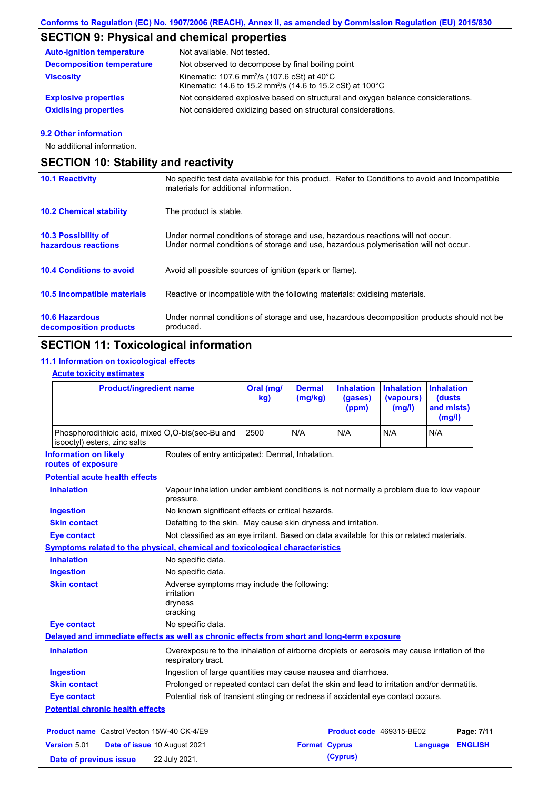### **SECTION 9: Physical and chemical properties**

| <b>Auto-ignition temperature</b> | Not available. Not tested.                                                                                                                  |
|----------------------------------|---------------------------------------------------------------------------------------------------------------------------------------------|
| <b>Decomposition temperature</b> | Not observed to decompose by final boiling point                                                                                            |
| <b>Viscosity</b>                 | Kinematic: 107.6 mm <sup>2</sup> /s (107.6 cSt) at $40^{\circ}$ C<br>Kinematic: 14.6 to 15.2 mm <sup>2</sup> /s (14.6 to 15.2 cSt) at 100°C |
| <b>Explosive properties</b>      | Not considered explosive based on structural and oxygen balance considerations.                                                             |
| <b>Oxidising properties</b>      | Not considered oxidizing based on structural considerations.                                                                                |

#### **9.2 Other information**

No additional information.

### **10.4 Conditions to avoid** Avoid all possible sources of ignition (spark or flame). **10.2 Chemical stability** The product is stable. **10.5 Incompatible materials 10.3 Possibility of hazardous reactions** Under normal conditions of storage and use, hazardous reactions will not occur. Under normal conditions of storage and use, hazardous polymerisation will not occur. **SECTION 10: Stability and reactivity 10.1 Reactivity** No specific test data available for this product. Refer to Conditions to avoid and Incompatible materials for additional information. Reactive or incompatible with the following materials: oxidising materials.

**10.6 Hazardous decomposition products** Under normal conditions of storage and use, hazardous decomposition products should not be produced.

### **SECTION 11: Toxicological information**

### **11.1 Information on toxicological effects**

### **Acute toxicity estimates**

| <b>Product/ingredient name</b>                                                             |                                                                                                                   | Oral (mg/<br>kg) | <b>Dermal</b><br>(mg/kg) | <b>Inhalation</b><br>(gases)<br>(ppm) | <b>Inhalation</b><br>(vapours)<br>(mg/l) | <b>Inhalation</b><br>(dusts<br>and mists)<br>(mg/l) |
|--------------------------------------------------------------------------------------------|-------------------------------------------------------------------------------------------------------------------|------------------|--------------------------|---------------------------------------|------------------------------------------|-----------------------------------------------------|
| Phosphorodithioic acid, mixed O,O-bis(sec-Bu and<br>isooctyl) esters, zinc salts           |                                                                                                                   | 2500             | N/A                      | N/A                                   | N/A                                      | N/A                                                 |
| <b>Information on likely</b><br>routes of exposure                                         | Routes of entry anticipated: Dermal, Inhalation.                                                                  |                  |                          |                                       |                                          |                                                     |
| <b>Potential acute health effects</b>                                                      |                                                                                                                   |                  |                          |                                       |                                          |                                                     |
| <b>Inhalation</b>                                                                          | Vapour inhalation under ambient conditions is not normally a problem due to low vapour<br>pressure.               |                  |                          |                                       |                                          |                                                     |
| <b>Ingestion</b>                                                                           | No known significant effects or critical hazards.                                                                 |                  |                          |                                       |                                          |                                                     |
| <b>Skin contact</b>                                                                        | Defatting to the skin. May cause skin dryness and irritation.                                                     |                  |                          |                                       |                                          |                                                     |
| <b>Eye contact</b>                                                                         | Not classified as an eye irritant. Based on data available for this or related materials.                         |                  |                          |                                       |                                          |                                                     |
| <b>Symptoms related to the physical, chemical and toxicological characteristics</b>        |                                                                                                                   |                  |                          |                                       |                                          |                                                     |
| <b>Inhalation</b>                                                                          | No specific data.                                                                                                 |                  |                          |                                       |                                          |                                                     |
| <b>Ingestion</b>                                                                           | No specific data.                                                                                                 |                  |                          |                                       |                                          |                                                     |
| <b>Skin contact</b>                                                                        | Adverse symptoms may include the following:<br>irritation<br>dryness<br>cracking                                  |                  |                          |                                       |                                          |                                                     |
| <b>Eye contact</b>                                                                         | No specific data.                                                                                                 |                  |                          |                                       |                                          |                                                     |
| Delayed and immediate effects as well as chronic effects from short and long-term exposure |                                                                                                                   |                  |                          |                                       |                                          |                                                     |
| <b>Inhalation</b>                                                                          | Overexposure to the inhalation of airborne droplets or aerosols may cause irritation of the<br>respiratory tract. |                  |                          |                                       |                                          |                                                     |
| <b>Ingestion</b>                                                                           | Ingestion of large quantities may cause nausea and diarrhoea.                                                     |                  |                          |                                       |                                          |                                                     |
| <b>Skin contact</b>                                                                        | Prolonged or repeated contact can defat the skin and lead to irritation and/or dermatitis.                        |                  |                          |                                       |                                          |                                                     |
| <b>Eye contact</b>                                                                         | Potential risk of transient stinging or redness if accidental eye contact occurs.                                 |                  |                          |                                       |                                          |                                                     |
| <b>Potential chronic health effects</b>                                                    |                                                                                                                   |                  |                          |                                       |                                          |                                                     |
| <b>Product name</b> Castrol Vecton 15W-40 CK-4/E9                                          |                                                                                                                   |                  |                          | Product code 469315-BE02              |                                          | Page: 7/11                                          |

| <b>Version 5.01</b>    | <b>Date of issue 10 August 2021</b> | <b>Format Cyprus</b> | <b>Language ENGLISH</b> |  |
|------------------------|-------------------------------------|----------------------|-------------------------|--|
| Date of previous issue | 22 July 2021.                       | (Cyprus)             |                         |  |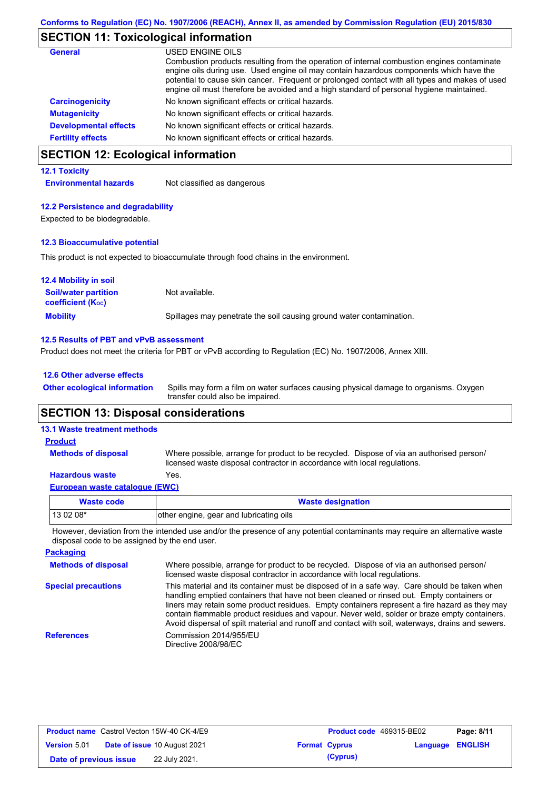### **SECTION 11: Toxicological information**

| General                      | USED ENGINE OILS<br>Combustion products resulting from the operation of internal combustion engines contaminate<br>engine oils during use. Used engine oil may contain hazardous components which have the<br>potential to cause skin cancer. Frequent or prolonged contact with all types and makes of used<br>engine oil must therefore be avoided and a high standard of personal hygiene maintained. |
|------------------------------|----------------------------------------------------------------------------------------------------------------------------------------------------------------------------------------------------------------------------------------------------------------------------------------------------------------------------------------------------------------------------------------------------------|
| <b>Carcinogenicity</b>       | No known significant effects or critical hazards.                                                                                                                                                                                                                                                                                                                                                        |
| <b>Mutagenicity</b>          | No known significant effects or critical hazards.                                                                                                                                                                                                                                                                                                                                                        |
| <b>Developmental effects</b> | No known significant effects or critical hazards.                                                                                                                                                                                                                                                                                                                                                        |
| <b>Fertility effects</b>     | No known significant effects or critical hazards.                                                                                                                                                                                                                                                                                                                                                        |

## **SECTION 12: Ecological information**

#### **12.1 Toxicity**

**Environmental hazards** Not classified as dangerous

#### **12.2 Persistence and degradability**

Expected to be biodegradable.

#### **12.3 Bioaccumulative potential**

This product is not expected to bioaccumulate through food chains in the environment.

| <b>12.4 Mobility in soil</b>                                  |                                                                      |
|---------------------------------------------------------------|----------------------------------------------------------------------|
| <b>Soil/water partition</b><br>coefficient (K <sub>oc</sub> ) | Not available.                                                       |
| <b>Mobility</b>                                               | Spillages may penetrate the soil causing ground water contamination. |

#### **12.5 Results of PBT and vPvB assessment**

Product does not meet the criteria for PBT or vPvB according to Regulation (EC) No. 1907/2006, Annex XIII.

#### **12.6 Other adverse effects**

Spills may form a film on water surfaces causing physical damage to organisms. Oxygen transfer could also be impaired. **Other ecological information**

### **SECTION 13: Disposal considerations**

### **13.1 Waste treatment methods**

**Methods of disposal**

#### **Product**

Where possible, arrange for product to be recycled. Dispose of via an authorised person/ licensed waste disposal contractor in accordance with local regulations.

### **Hazardous waste** Yes.

| European waste catalogue (EWC) |  |
|--------------------------------|--|
|                                |  |

| Waste code | <b>Waste designation</b>                |
|------------|-----------------------------------------|
| $130208*$  | other engine, gear and lubricating oils |

However, deviation from the intended use and/or the presence of any potential contaminants may require an alternative waste disposal code to be assigned by the end user.

| <b>Packaging</b>           |                                                                                                                                                                                                                                                                                                                                                                                                                                                                                                 |
|----------------------------|-------------------------------------------------------------------------------------------------------------------------------------------------------------------------------------------------------------------------------------------------------------------------------------------------------------------------------------------------------------------------------------------------------------------------------------------------------------------------------------------------|
| <b>Methods of disposal</b> | Where possible, arrange for product to be recycled. Dispose of via an authorised person/<br>licensed waste disposal contractor in accordance with local regulations.                                                                                                                                                                                                                                                                                                                            |
| <b>Special precautions</b> | This material and its container must be disposed of in a safe way. Care should be taken when<br>handling emptied containers that have not been cleaned or rinsed out. Empty containers or<br>liners may retain some product residues. Empty containers represent a fire hazard as they may<br>contain flammable product residues and vapour. Never weld, solder or braze empty containers.<br>Avoid dispersal of spilt material and runoff and contact with soil, waterways, drains and sewers. |
| <b>References</b>          | Commission 2014/955/EU<br>Directive 2008/98/EC                                                                                                                                                                                                                                                                                                                                                                                                                                                  |

| <b>Product name</b> Castrol Vecton 15W-40 CK-4/E9 |  | <b>Product code</b> 469315-BE02     |  | Page: 8/11           |                         |  |
|---------------------------------------------------|--|-------------------------------------|--|----------------------|-------------------------|--|
| <b>Version 5.01</b>                               |  | <b>Date of issue 10 August 2021</b> |  | <b>Format Cyprus</b> | <b>Language ENGLISH</b> |  |
| Date of previous issue                            |  | 22 July 2021.                       |  | (Cyprus)             |                         |  |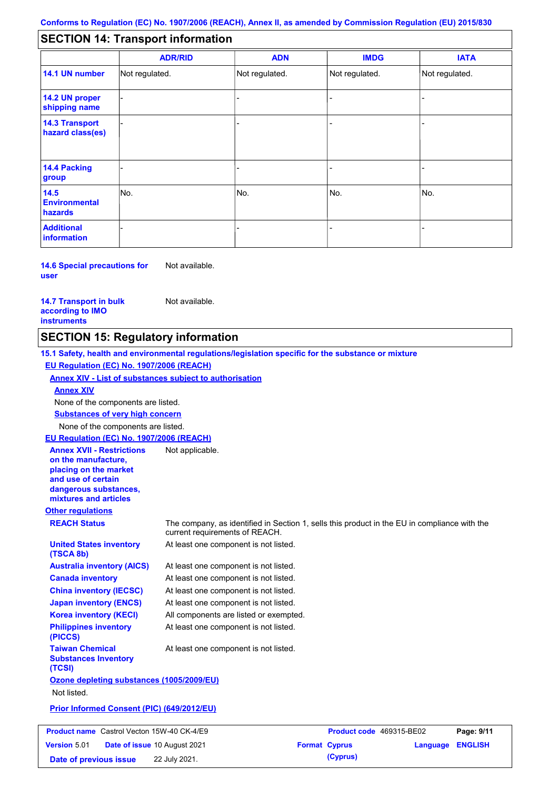#### - - - - - - - - - Not regulated. Not regulated. Not regulated. - - - **SECTION 14: Transport information ADR/RID IMDG IATA 14.1 UN number 14.2 UN proper shipping name 14.3 Transport hazard class(es) 14.4 Packing group ADN Additional information 14.5 Environmental hazards** No. 1980 | No. 1980 | No. 1980 | No. 1980 | No. 1980 | No. 1980 | No. 1980 | No. 1980 | No. 1980 | No. 1980 | Not regulated. - -<br>No. - -

**14.6 Special precautions for user** Not available.

**14.7 Transport in bulk according to IMO instruments**

Not available.

### **SECTION 15: Regulatory information**

**Other regulations REACH Status** The company, as identified in Section 1, sells this product in the EU in compliance with the current requirements of REACH. **15.1 Safety, health and environmental regulations/legislation specific for the substance or mixture EU Regulation (EC) No. 1907/2006 (REACH) Annex XIV - List of substances subject to authorisation Substances of very high concern** None of the components are listed. At least one component is not listed. At least one component is not listed. At least one component is not listed. At least one component is not listed. At least one component is not listed. All components are listed or exempted. At least one component is not listed. **United States inventory (TSCA 8b) Australia inventory (AICS) Canada inventory China inventory (IECSC) Japan inventory (ENCS) Korea inventory (KECI) Philippines inventory (PICCS) Taiwan Chemical Substances Inventory (TCSI)** At least one component is not listed. **Ozone depleting substances (1005/2009/EU)** Not listed. **Prior Informed Consent (PIC) (649/2012/EU)** None of the components are listed. **Annex XIV EU Regulation (EC) No. 1907/2006 (REACH) Annex XVII - Restrictions on the manufacture, placing on the market and use of certain dangerous substances, mixtures and articles** Not applicable. **Product name** Castrol Vecton 15W-40 CK-4/E9 **Product Code 469315-BE02 Page: 9/11 Version** 5.01 **Date of issue** 10 August 2021 **Format Cyprus Language ENGLISH**

**Date of previous issue 22 July 2021. (Cyprus) (Cyprus)**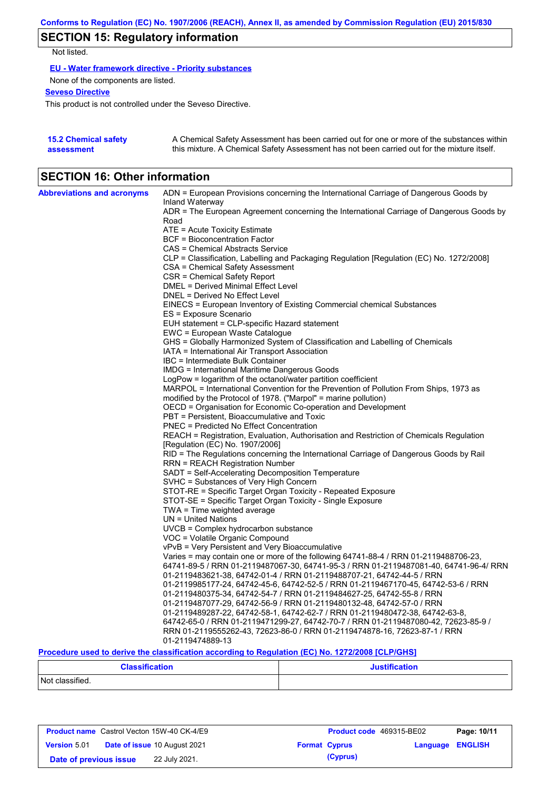# **SECTION 15: Regulatory information**

Not listed.

**EU - Water framework directive - Priority substances**

None of the components are listed.

**Seveso Directive**

This product is not controlled under the Seveso Directive.

| <b>15.2 Chemical safety</b> | A Chemical Safety Assessment has been carried out for one or more of the substances within  |
|-----------------------------|---------------------------------------------------------------------------------------------|
| assessment                  | this mixture. A Chemical Safety Assessment has not been carried out for the mixture itself. |

## **SECTION 16: Other information**

| <b>Abbreviations and acronyms</b> | ADN = European Provisions concerning the International Carriage of Dangerous Goods by                                                                                                                                                     |
|-----------------------------------|-------------------------------------------------------------------------------------------------------------------------------------------------------------------------------------------------------------------------------------------|
|                                   | Inland Waterway<br>ADR = The European Agreement concerning the International Carriage of Dangerous Goods by                                                                                                                               |
|                                   | Road                                                                                                                                                                                                                                      |
|                                   | ATE = Acute Toxicity Estimate                                                                                                                                                                                                             |
|                                   | <b>BCF</b> = Bioconcentration Factor                                                                                                                                                                                                      |
|                                   | CAS = Chemical Abstracts Service                                                                                                                                                                                                          |
|                                   | CLP = Classification, Labelling and Packaging Regulation [Regulation (EC) No. 1272/2008]                                                                                                                                                  |
|                                   | CSA = Chemical Safety Assessment                                                                                                                                                                                                          |
|                                   | CSR = Chemical Safety Report                                                                                                                                                                                                              |
|                                   | DMEL = Derived Minimal Effect Level                                                                                                                                                                                                       |
|                                   | DNEL = Derived No Effect Level                                                                                                                                                                                                            |
|                                   | EINECS = European Inventory of Existing Commercial chemical Substances                                                                                                                                                                    |
|                                   | ES = Exposure Scenario                                                                                                                                                                                                                    |
|                                   | EUH statement = CLP-specific Hazard statement                                                                                                                                                                                             |
|                                   | EWC = European Waste Catalogue                                                                                                                                                                                                            |
|                                   | GHS = Globally Harmonized System of Classification and Labelling of Chemicals                                                                                                                                                             |
|                                   | IATA = International Air Transport Association                                                                                                                                                                                            |
|                                   | IBC = Intermediate Bulk Container                                                                                                                                                                                                         |
|                                   | <b>IMDG</b> = International Maritime Dangerous Goods                                                                                                                                                                                      |
|                                   | LogPow = logarithm of the octanol/water partition coefficient<br>MARPOL = International Convention for the Prevention of Pollution From Ships, 1973 as                                                                                    |
|                                   | modified by the Protocol of 1978. ("Marpol" = marine pollution)                                                                                                                                                                           |
|                                   | OECD = Organisation for Economic Co-operation and Development                                                                                                                                                                             |
|                                   | PBT = Persistent, Bioaccumulative and Toxic                                                                                                                                                                                               |
|                                   | <b>PNEC = Predicted No Effect Concentration</b>                                                                                                                                                                                           |
|                                   | REACH = Registration, Evaluation, Authorisation and Restriction of Chemicals Regulation                                                                                                                                                   |
|                                   | [Regulation (EC) No. 1907/2006]                                                                                                                                                                                                           |
|                                   | RID = The Regulations concerning the International Carriage of Dangerous Goods by Rail                                                                                                                                                    |
|                                   | <b>RRN = REACH Registration Number</b>                                                                                                                                                                                                    |
|                                   | SADT = Self-Accelerating Decomposition Temperature                                                                                                                                                                                        |
|                                   | SVHC = Substances of Very High Concern                                                                                                                                                                                                    |
|                                   | STOT-RE = Specific Target Organ Toxicity - Repeated Exposure                                                                                                                                                                              |
|                                   | STOT-SE = Specific Target Organ Toxicity - Single Exposure                                                                                                                                                                                |
|                                   | TWA = Time weighted average                                                                                                                                                                                                               |
|                                   | $UN = United Nations$                                                                                                                                                                                                                     |
|                                   | $UVCB = Complex\;hydrocarbon\; substance$                                                                                                                                                                                                 |
|                                   | VOC = Volatile Organic Compound                                                                                                                                                                                                           |
|                                   | vPvB = Very Persistent and Very Bioaccumulative                                                                                                                                                                                           |
|                                   | Varies = may contain one or more of the following 64741-88-4 / RRN 01-2119488706-23,                                                                                                                                                      |
|                                   | 64741-89-5 / RRN 01-2119487067-30, 64741-95-3 / RRN 01-2119487081-40, 64741-96-4/ RRN                                                                                                                                                     |
|                                   | 01-2119483621-38, 64742-01-4 / RRN 01-2119488707-21, 64742-44-5 / RRN                                                                                                                                                                     |
|                                   | 01-2119985177-24, 64742-45-6, 64742-52-5 / RRN 01-2119467170-45, 64742-53-6 / RRN                                                                                                                                                         |
|                                   | 01-2119480375-34, 64742-54-7 / RRN 01-2119484627-25, 64742-55-8 / RRN                                                                                                                                                                     |
|                                   | 01-2119487077-29, 64742-56-9 / RRN 01-2119480132-48, 64742-57-0 / RRN                                                                                                                                                                     |
|                                   | 01-2119489287-22, 64742-58-1, 64742-62-7 / RRN 01-2119480472-38, 64742-63-8,<br>64742-65-0 / RRN 01-2119471299-27, 64742-70-7 / RRN 01-2119487080-42, 72623-85-9 /                                                                        |
|                                   | RRN 01-2119555262-43, 72623-86-0 / RRN 01-2119474878-16, 72623-87-1 / RRN                                                                                                                                                                 |
|                                   | 01-2119474889-13                                                                                                                                                                                                                          |
|                                   | $\mathbf{B}$ . $\mathbf{B}$ . The set of the set of the set of the set of $\mathbf{B}$ . The set of the set of the set of the set of the set of the set of the set of the set of the set of the set of the set of the set of the set of t |

**Procedure used to derive the classification according to Regulation (EC) No. 1272/2008 [CLP/GHS]**

| <b>Classification</b> | <b>Justification</b> |
|-----------------------|----------------------|
| Not classified.       |                      |

| <b>Product name</b> Castrol Vecton 15W-40 CK-4/E9 |  | <b>Product code</b> 469315-BE02     | Page: 10/11          |          |                  |  |
|---------------------------------------------------|--|-------------------------------------|----------------------|----------|------------------|--|
| <b>Version 5.01</b>                               |  | <b>Date of issue 10 August 2021</b> | <b>Format Cyprus</b> |          | Language ENGLISH |  |
| Date of previous issue                            |  | 22 July 2021.                       |                      | (Cyprus) |                  |  |